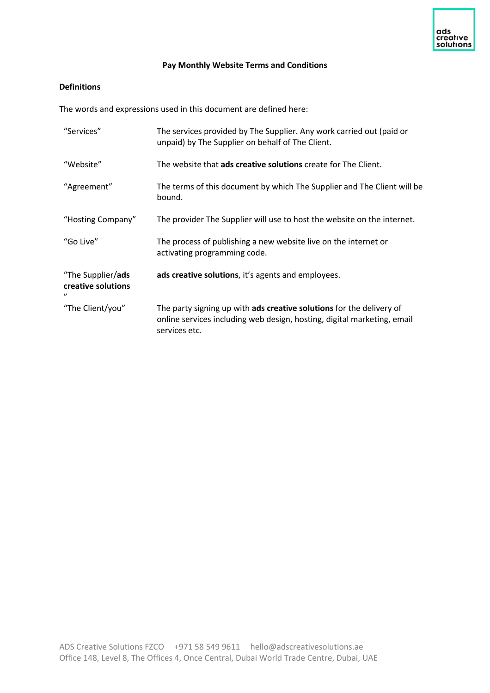## **Pay Monthly Website Terms and Conditions**

# **Definitions**

The words and expressions used in this document are defined here:

| "Services"                                                   | The services provided by The Supplier. Any work carried out (paid or<br>unpaid) by The Supplier on behalf of The Client.                                         |
|--------------------------------------------------------------|------------------------------------------------------------------------------------------------------------------------------------------------------------------|
| "Website"                                                    | The website that ads creative solutions create for The Client.                                                                                                   |
| "Agreement"                                                  | The terms of this document by which The Supplier and The Client will be<br>bound.                                                                                |
| "Hosting Company"                                            | The provider The Supplier will use to host the website on the internet.                                                                                          |
| "Go Live"                                                    | The process of publishing a new website live on the internet or<br>activating programming code.                                                                  |
| "The Supplier/ads<br>creative solutions<br>$^{\prime\prime}$ | ads creative solutions, it's agents and employees.                                                                                                               |
| "The Client/you"                                             | The party signing up with ads creative solutions for the delivery of<br>online services including web design, hosting, digital marketing, email<br>services etc. |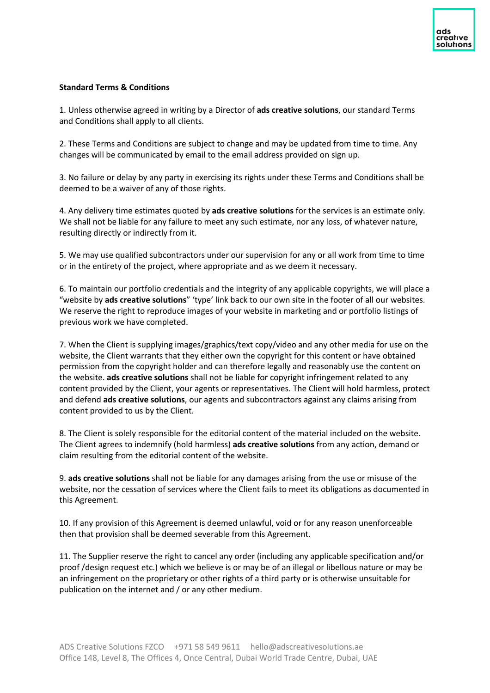## **Standard Terms & Conditions**

1. Unless otherwise agreed in writing by a Director of **ads creative solutions**, our standard Terms and Conditions shall apply to all clients.

2. These Terms and Conditions are subject to change and may be updated from time to time. Any changes will be communicated by email to the email address provided on sign up.

3. No failure or delay by any party in exercising its rights under these Terms and Conditions shall be deemed to be a waiver of any of those rights.

4. Any delivery time estimates quoted by **ads creative solutions** for the services is an estimate only. We shall not be liable for any failure to meet any such estimate, nor any loss, of whatever nature, resulting directly or indirectly from it.

5. We may use qualified subcontractors under our supervision for any or all work from time to time or in the entirety of the project, where appropriate and as we deem it necessary.

6. To maintain our portfolio credentials and the integrity of any applicable copyrights, we will place a "website by **ads creative solutions**" 'type' link back to our own site in the footer of all our websites. We reserve the right to reproduce images of your website in marketing and or portfolio listings of previous work we have completed.

7. When the Client is supplying images/graphics/text copy/video and any other media for use on the website, the Client warrants that they either own the copyright for this content or have obtained permission from the copyright holder and can therefore legally and reasonably use the content on the website. **ads creative solutions** shall not be liable for copyright infringement related to any content provided by the Client, your agents or representatives. The Client will hold harmless, protect and defend **ads creative solutions**, our agents and subcontractors against any claims arising from content provided to us by the Client.

8. The Client is solely responsible for the editorial content of the material included on the website. The Client agrees to indemnify (hold harmless) **ads creative solutions** from any action, demand or claim resulting from the editorial content of the website.

9. **ads creative solutions** shall not be liable for any damages arising from the use or misuse of the website, nor the cessation of services where the Client fails to meet its obligations as documented in this Agreement.

10. If any provision of this Agreement is deemed unlawful, void or for any reason unenforceable then that provision shall be deemed severable from this Agreement.

11. The Supplier reserve the right to cancel any order (including any applicable specification and/or proof /design request etc.) which we believe is or may be of an illegal or libellous nature or may be an infringement on the proprietary or other rights of a third party or is otherwise unsuitable for publication on the internet and / or any other medium.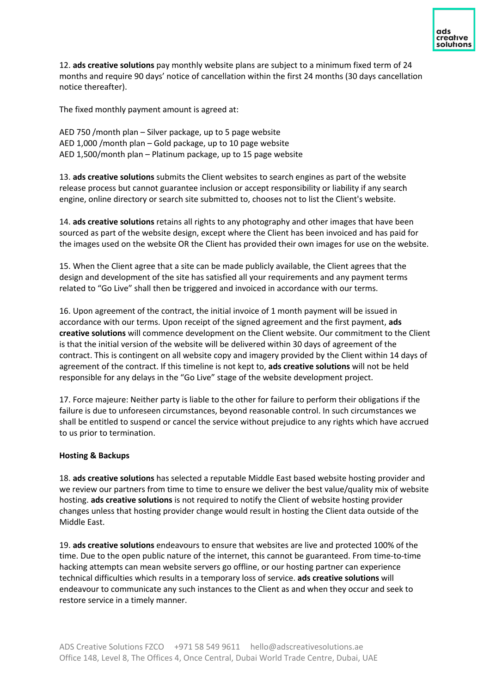

12. **ads creative solutions** pay monthly website plans are subject to a minimum fixed term of 24 months and require 90 days' notice of cancellation within the first 24 months (30 days cancellation notice thereafter).

The fixed monthly payment amount is agreed at:

AED 750 /month plan – Silver package, up to 5 page website AED 1,000 /month plan – Gold package, up to 10 page website AED 1,500/month plan – Platinum package, up to 15 page website

13. **ads creative solutions** submits the Client websites to search engines as part of the website release process but cannot guarantee inclusion or accept responsibility or liability if any search engine, online directory or search site submitted to, chooses not to list the Client's website.

14. **ads creative solutions** retains all rights to any photography and other images that have been sourced as part of the website design, except where the Client has been invoiced and has paid for the images used on the website OR the Client has provided their own images for use on the website.

15. When the Client agree that a site can be made publicly available, the Client agrees that the design and development of the site has satisfied all your requirements and any payment terms related to "Go Live" shall then be triggered and invoiced in accordance with our terms.

16. Upon agreement of the contract, the initial invoice of 1 month payment will be issued in accordance with our terms. Upon receipt of the signed agreement and the first payment, **ads creative solutions** will commence development on the Client website. Our commitment to the Client is that the initial version of the website will be delivered within 30 days of agreement of the contract. This is contingent on all website copy and imagery provided by the Client within 14 days of agreement of the contract. If this timeline is not kept to, **ads creative solutions** will not be held responsible for any delays in the "Go Live" stage of the website development project.

17. Force majeure: Neither party is liable to the other for failure to perform their obligations if the failure is due to unforeseen circumstances, beyond reasonable control. In such circumstances we shall be entitled to suspend or cancel the service without prejudice to any rights which have accrued to us prior to termination.

#### **Hosting & Backups**

18. **ads creative solutions** has selected a reputable Middle East based website hosting provider and we review our partners from time to time to ensure we deliver the best value/quality mix of website hosting. **ads creative solutions** is not required to notify the Client of website hosting provider changes unless that hosting provider change would result in hosting the Client data outside of the Middle East.

19. **ads creative solutions** endeavours to ensure that websites are live and protected 100% of the time. Due to the open public nature of the internet, this cannot be guaranteed. From time-to-time hacking attempts can mean website servers go offline, or our hosting partner can experience technical difficulties which results in a temporary loss of service. **ads creative solutions** will endeavour to communicate any such instances to the Client as and when they occur and seek to restore service in a timely manner.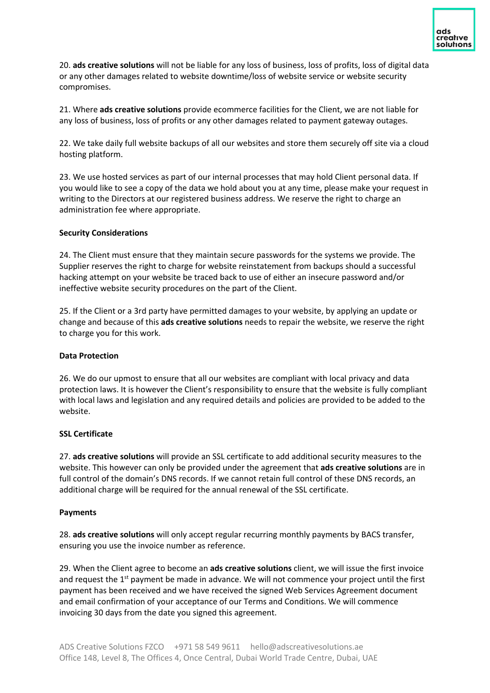20. **ads creative solutions** will not be liable for any loss of business, loss of profits, loss of digital data or any other damages related to website downtime/loss of website service or website security compromises.

21. Where **ads creative solutions** provide ecommerce facilities for the Client, we are not liable for any loss of business, loss of profits or any other damages related to payment gateway outages.

22. We take daily full website backups of all our websites and store them securely off site via a cloud hosting platform.

23. We use hosted services as part of our internal processes that may hold Client personal data. If you would like to see a copy of the data we hold about you at any time, please make your request in writing to the Directors at our registered business address. We reserve the right to charge an administration fee where appropriate.

#### **Security Considerations**

24. The Client must ensure that they maintain secure passwords for the systems we provide. The Supplier reserves the right to charge for website reinstatement from backups should a successful hacking attempt on your website be traced back to use of either an insecure password and/or ineffective website security procedures on the part of the Client.

25. If the Client or a 3rd party have permitted damages to your website, by applying an update or change and because of this **ads creative solutions** needs to repair the website, we reserve the right to charge you for this work.

#### **Data Protection**

26. We do our upmost to ensure that all our websites are compliant with local privacy and data protection laws. It is however the Client's responsibility to ensure that the website is fully compliant with local laws and legislation and any required details and policies are provided to be added to the website.

#### **SSL Certificate**

27. **ads creative solutions** will provide an SSL certificate to add additional security measures to the website. This however can only be provided under the agreement that **ads creative solutions** are in full control of the domain's DNS records. If we cannot retain full control of these DNS records, an additional charge will be required for the annual renewal of the SSL certificate.

#### **Payments**

28. **ads creative solutions** will only accept regular recurring monthly payments by BACS transfer, ensuring you use the invoice number as reference.

29. When the Client agree to become an **ads creative solutions** client, we will issue the first invoice and request the  $1<sup>st</sup>$  payment be made in advance. We will not commence your project until the first payment has been received and we have received the signed Web Services Agreement document and email confirmation of your acceptance of our Terms and Conditions. We will commence invoicing 30 days from the date you signed this agreement.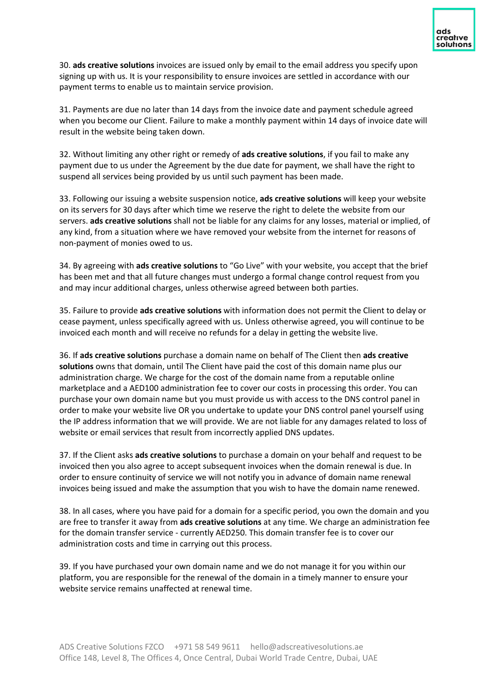30. **ads creative solutions** invoices are issued only by email to the email address you specify upon signing up with us. It is your responsibility to ensure invoices are settled in accordance with our payment terms to enable us to maintain service provision.

31. Payments are due no later than 14 days from the invoice date and payment schedule agreed when you become our Client. Failure to make a monthly payment within 14 days of invoice date will result in the website being taken down.

32. Without limiting any other right or remedy of **ads creative solutions**, if you fail to make any payment due to us under the Agreement by the due date for payment, we shall have the right to suspend all services being provided by us until such payment has been made.

33. Following our issuing a website suspension notice, **ads creative solutions** will keep your website on its servers for 30 days after which time we reserve the right to delete the website from our servers. **ads creative solutions** shall not be liable for any claims for any losses, material or implied, of any kind, from a situation where we have removed your website from the internet for reasons of non-payment of monies owed to us.

34. By agreeing with **ads creative solutions** to "Go Live" with your website, you accept that the brief has been met and that all future changes must undergo a formal change control request from you and may incur additional charges, unless otherwise agreed between both parties.

35. Failure to provide **ads creative solutions** with information does not permit the Client to delay or cease payment, unless specifically agreed with us. Unless otherwise agreed, you will continue to be invoiced each month and will receive no refunds for a delay in getting the website live.

36. If **ads creative solutions** purchase a domain name on behalf of The Client then **ads creative solutions** owns that domain, until The Client have paid the cost of this domain name plus our administration charge. We charge for the cost of the domain name from a reputable online marketplace and a AED100 administration fee to cover our costs in processing this order. You can purchase your own domain name but you must provide us with access to the DNS control panel in order to make your website live OR you undertake to update your DNS control panel yourself using the IP address information that we will provide. We are not liable for any damages related to loss of website or email services that result from incorrectly applied DNS updates.

37. If the Client asks **ads creative solutions** to purchase a domain on your behalf and request to be invoiced then you also agree to accept subsequent invoices when the domain renewal is due. In order to ensure continuity of service we will not notify you in advance of domain name renewal invoices being issued and make the assumption that you wish to have the domain name renewed.

38. In all cases, where you have paid for a domain for a specific period, you own the domain and you are free to transfer it away from **ads creative solutions** at any time. We charge an administration fee for the domain transfer service - currently AED250. This domain transfer fee is to cover our administration costs and time in carrying out this process.

39. If you have purchased your own domain name and we do not manage it for you within our platform, you are responsible for the renewal of the domain in a timely manner to ensure your website service remains unaffected at renewal time.